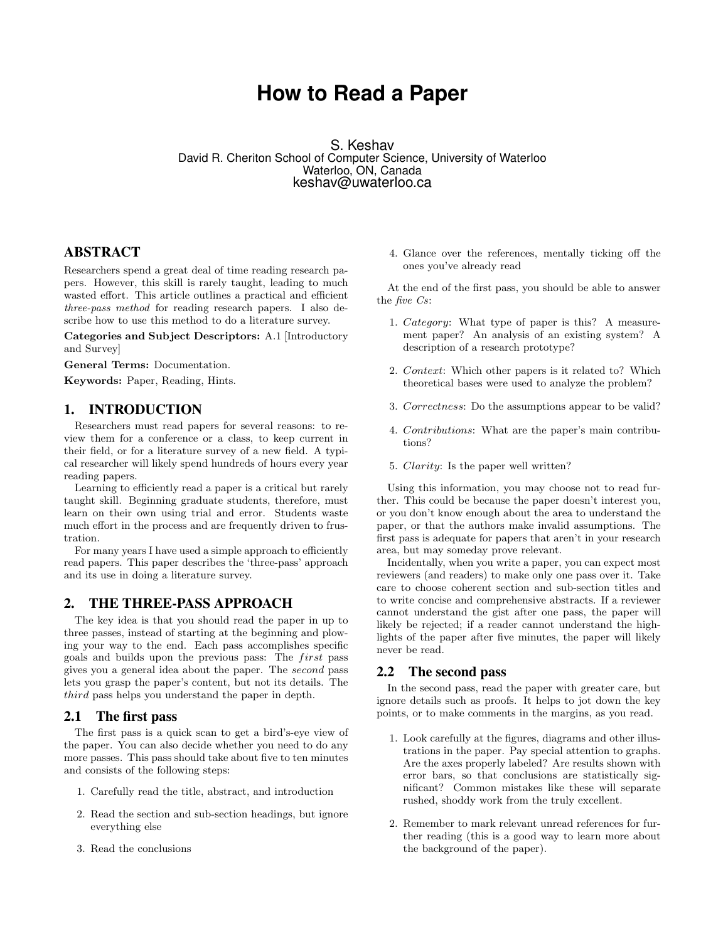# **How to Read a Paper**

S. Keshav David R. Cheriton School of Computer Science, University of Waterloo Waterloo, ON, Canada keshav@uwaterloo.ca

# ABSTRACT

Researchers spend a great deal of time reading research papers. However, this skill is rarely taught, leading to much wasted effort. This article outlines a practical and efficient three-pass method for reading research papers. I also describe how to use this method to do a literature survey.

Categories and Subject Descriptors: A.1 [Introductory and Survey]

General Terms: Documentation.

Keywords: Paper, Reading, Hints.

### 1. INTRODUCTION

Researchers must read papers for several reasons: to review them for a conference or a class, to keep current in their field, or for a literature survey of a new field. A typical researcher will likely spend hundreds of hours every year reading papers.

Learning to efficiently read a paper is a critical but rarely taught skill. Beginning graduate students, therefore, must learn on their own using trial and error. Students waste much effort in the process and are frequently driven to frustration.

For many years I have used a simple approach to efficiently read papers. This paper describes the 'three-pass' approach and its use in doing a literature survey.

## 2. THE THREE-PASS APPROACH

The key idea is that you should read the paper in up to three passes, instead of starting at the beginning and plowing your way to the end. Each pass accomplishes specific goals and builds upon the previous pass: The *first* pass gives you a general idea about the paper. The second pass lets you grasp the paper's content, but not its details. The third pass helps you understand the paper in depth.

#### 2.1 The first pass

The first pass is a quick scan to get a bird's-eye view of the paper. You can also decide whether you need to do any more passes. This pass should take about five to ten minutes and consists of the following steps:

- 1. Carefully read the title, abstract, and introduction
- 2. Read the section and sub-section headings, but ignore everything else
- 3. Read the conclusions

4. Glance over the references, mentally ticking off the ones you've already read

At the end of the first pass, you should be able to answer the five Cs:

- 1. Category: What type of paper is this? A measurement paper? An analysis of an existing system? A description of a research prototype?
- 2. Context: Which other papers is it related to? Which theoretical bases were used to analyze the problem?
- 3. Correctness: Do the assumptions appear to be valid?
- 4. Contributions: What are the paper's main contributions?
- 5. Clarity: Is the paper well written?

Using this information, you may choose not to read further. This could be because the paper doesn't interest you, or you don't know enough about the area to understand the paper, or that the authors make invalid assumptions. The first pass is adequate for papers that aren't in your research area, but may someday prove relevant.

Incidentally, when you write a paper, you can expect most reviewers (and readers) to make only one pass over it. Take care to choose coherent section and sub-section titles and to write concise and comprehensive abstracts. If a reviewer cannot understand the gist after one pass, the paper will likely be rejected; if a reader cannot understand the highlights of the paper after five minutes, the paper will likely never be read.

#### 2.2 The second pass

In the second pass, read the paper with greater care, but ignore details such as proofs. It helps to jot down the key points, or to make comments in the margins, as you read.

- 1. Look carefully at the figures, diagrams and other illustrations in the paper. Pay special attention to graphs. Are the axes properly labeled? Are results shown with error bars, so that conclusions are statistically significant? Common mistakes like these will separate rushed, shoddy work from the truly excellent.
- 2. Remember to mark relevant unread references for further reading (this is a good way to learn more about the background of the paper).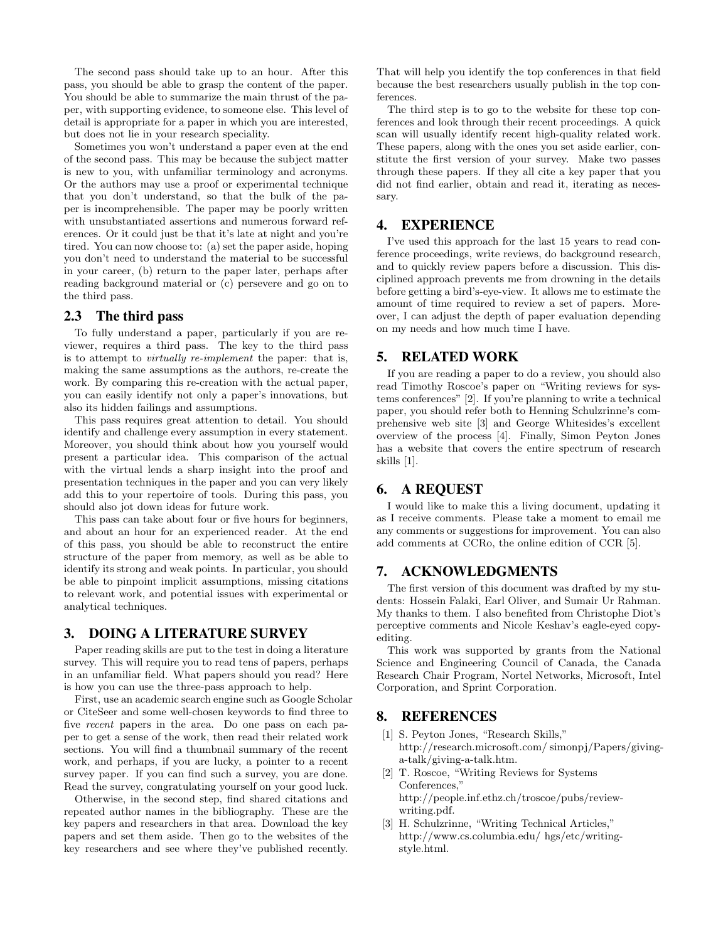The second pass should take up to an hour. After this pass, you should be able to grasp the content of the paper. You should be able to summarize the main thrust of the paper, with supporting evidence, to someone else. This level of detail is appropriate for a paper in which you are interested, but does not lie in your research speciality.

Sometimes you won't understand a paper even at the end of the second pass. This may be because the subject matter is new to you, with unfamiliar terminology and acronyms. Or the authors may use a proof or experimental technique that you don't understand, so that the bulk of the paper is incomprehensible. The paper may be poorly written with unsubstantiated assertions and numerous forward references. Or it could just be that it's late at night and you're tired. You can now choose to: (a) set the paper aside, hoping you don't need to understand the material to be successful in your career, (b) return to the paper later, perhaps after reading background material or (c) persevere and go on to the third pass.

#### 2.3 The third pass

To fully understand a paper, particularly if you are reviewer, requires a third pass. The key to the third pass is to attempt to virtually re-implement the paper: that is, making the same assumptions as the authors, re-create the work. By comparing this re-creation with the actual paper, you can easily identify not only a paper's innovations, but also its hidden failings and assumptions.

This pass requires great attention to detail. You should identify and challenge every assumption in every statement. Moreover, you should think about how you yourself would present a particular idea. This comparison of the actual with the virtual lends a sharp insight into the proof and presentation techniques in the paper and you can very likely add this to your repertoire of tools. During this pass, you should also jot down ideas for future work.

This pass can take about four or five hours for beginners, and about an hour for an experienced reader. At the end of this pass, you should be able to reconstruct the entire structure of the paper from memory, as well as be able to identify its strong and weak points. In particular, you should be able to pinpoint implicit assumptions, missing citations to relevant work, and potential issues with experimental or analytical techniques.

#### 3. DOING A LITERATURE SURVEY

Paper reading skills are put to the test in doing a literature survey. This will require you to read tens of papers, perhaps in an unfamiliar field. What papers should you read? Here is how you can use the three-pass approach to help.

First, use an academic search engine such as Google Scholar or CiteSeer and some well-chosen keywords to find three to five recent papers in the area. Do one pass on each paper to get a sense of the work, then read their related work sections. You will find a thumbnail summary of the recent work, and perhaps, if you are lucky, a pointer to a recent survey paper. If you can find such a survey, you are done. Read the survey, congratulating yourself on your good luck.

Otherwise, in the second step, find shared citations and repeated author names in the bibliography. These are the key papers and researchers in that area. Download the key papers and set them aside. Then go to the websites of the key researchers and see where they've published recently.

That will help you identify the top conferences in that field because the best researchers usually publish in the top conferences.

The third step is to go to the website for these top conferences and look through their recent proceedings. A quick scan will usually identify recent high-quality related work. These papers, along with the ones you set aside earlier, constitute the first version of your survey. Make two passes through these papers. If they all cite a key paper that you did not find earlier, obtain and read it, iterating as necessary.

## 4. EXPERIENCE

I've used this approach for the last 15 years to read conference proceedings, write reviews, do background research, and to quickly review papers before a discussion. This disciplined approach prevents me from drowning in the details before getting a bird's-eye-view. It allows me to estimate the amount of time required to review a set of papers. Moreover, I can adjust the depth of paper evaluation depending on my needs and how much time I have.

#### 5. RELATED WORK

If you are reading a paper to do a review, you should also read Timothy Roscoe's paper on "Writing reviews for systems conferences" [2]. If you're planning to write a technical paper, you should refer both to Henning Schulzrinne's comprehensive web site [3] and George Whitesides's excellent overview of the process [4]. Finally, Simon Peyton Jones has a website that covers the entire spectrum of research skills [1].

# 6. A REQUEST

I would like to make this a living document, updating it as I receive comments. Please take a moment to email me any comments or suggestions for improvement. You can also add comments at CCRo, the online edition of CCR [5].

#### 7. ACKNOWLEDGMENTS

The first version of this document was drafted by my students: Hossein Falaki, Earl Oliver, and Sumair Ur Rahman. My thanks to them. I also benefited from Christophe Diot's perceptive comments and Nicole Keshav's eagle-eyed copyediting.

This work was supported by grants from the National Science and Engineering Council of Canada, the Canada Research Chair Program, Nortel Networks, Microsoft, Intel Corporation, and Sprint Corporation.

#### 8. REFERENCES

- [1] S. Peyton Jones, "Research Skills," http://research.microsoft.com/ simonpj/Papers/givinga-talk/giving-a-talk.htm.
- [2] T. Roscoe, "Writing Reviews for Systems Conferences," http://people.inf.ethz.ch/troscoe/pubs/reviewwriting.pdf.
- [3] H. Schulzrinne, "Writing Technical Articles," http://www.cs.columbia.edu/ hgs/etc/writingstyle.html.